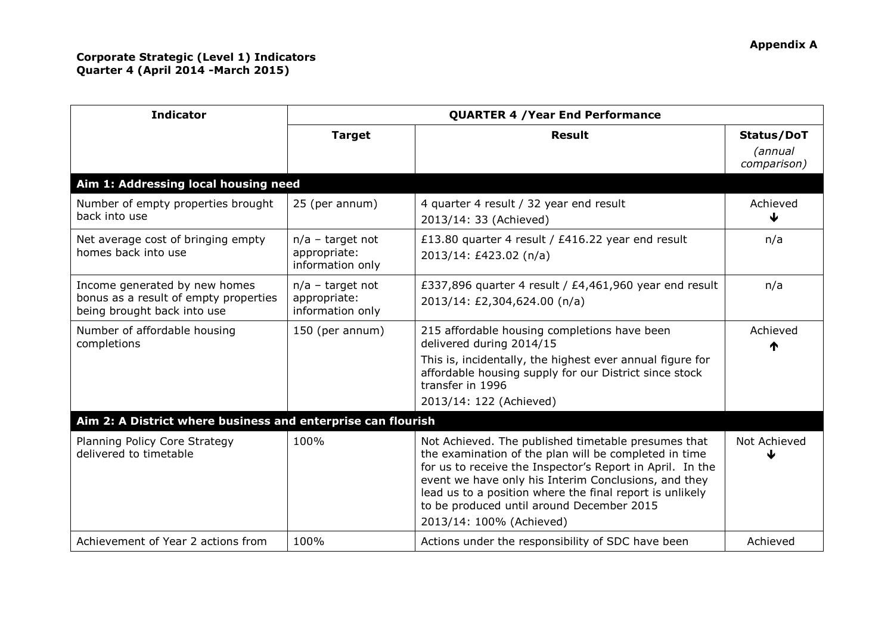| <b>Indicator</b>                                                                                      | <b>QUARTER 4 / Year End Performance</b>                |                                                                                                                                                                                                                                                                                                                                                                        |                                      |  |  |
|-------------------------------------------------------------------------------------------------------|--------------------------------------------------------|------------------------------------------------------------------------------------------------------------------------------------------------------------------------------------------------------------------------------------------------------------------------------------------------------------------------------------------------------------------------|--------------------------------------|--|--|
|                                                                                                       | <b>Target</b>                                          | <b>Result</b>                                                                                                                                                                                                                                                                                                                                                          | Status/DoT<br>(annual<br>comparison) |  |  |
| Aim 1: Addressing local housing need                                                                  |                                                        |                                                                                                                                                                                                                                                                                                                                                                        |                                      |  |  |
| Number of empty properties brought<br>back into use                                                   | 25 (per annum)                                         | 4 quarter 4 result / 32 year end result<br>2013/14: 33 (Achieved)                                                                                                                                                                                                                                                                                                      | Achieved                             |  |  |
| Net average cost of bringing empty<br>homes back into use                                             | $n/a$ – target not<br>appropriate:<br>information only | £13.80 quarter 4 result / £416.22 year end result<br>2013/14: £423.02 (n/a)                                                                                                                                                                                                                                                                                            | n/a                                  |  |  |
| Income generated by new homes<br>bonus as a result of empty properties<br>being brought back into use | $n/a$ – target not<br>appropriate:<br>information only | £337,896 quarter 4 result / £4,461,960 year end result<br>2013/14: £2,304,624.00 (n/a)                                                                                                                                                                                                                                                                                 | n/a                                  |  |  |
| Number of affordable housing<br>completions                                                           | 150 (per annum)                                        | 215 affordable housing completions have been<br>delivered during 2014/15<br>This is, incidentally, the highest ever annual figure for<br>affordable housing supply for our District since stock<br>transfer in 1996<br>2013/14: 122 (Achieved)                                                                                                                         | Achieved                             |  |  |
| Aim 2: A District where business and enterprise can flourish                                          |                                                        |                                                                                                                                                                                                                                                                                                                                                                        |                                      |  |  |
| Planning Policy Core Strategy<br>delivered to timetable                                               | 100%                                                   | Not Achieved. The published timetable presumes that<br>the examination of the plan will be completed in time<br>for us to receive the Inspector's Report in April. In the<br>event we have only his Interim Conclusions, and they<br>lead us to a position where the final report is unlikely<br>to be produced until around December 2015<br>2013/14: 100% (Achieved) | Not Achieved                         |  |  |
| Achievement of Year 2 actions from                                                                    | 100%                                                   | Actions under the responsibility of SDC have been                                                                                                                                                                                                                                                                                                                      | Achieved                             |  |  |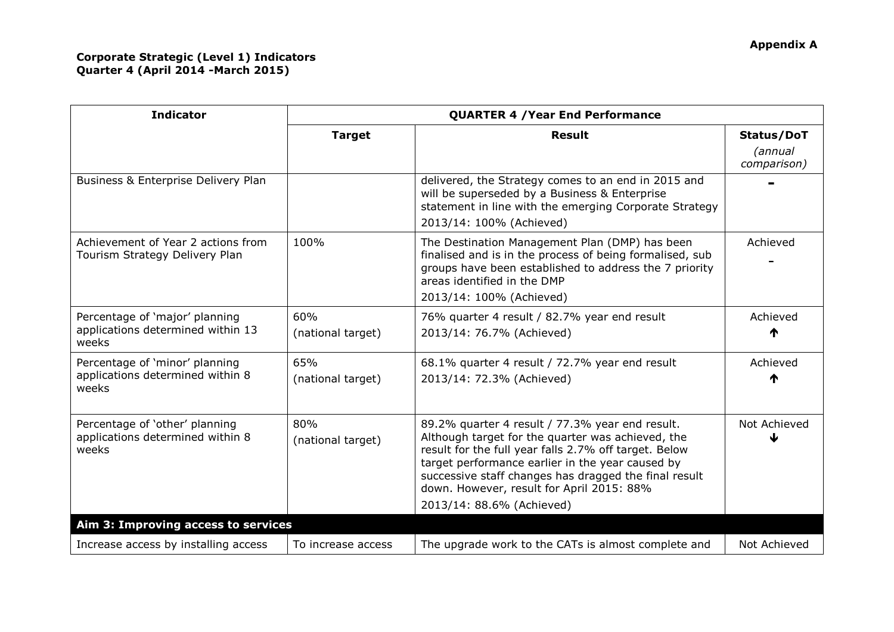## **Corporate Strategic (Level 1) Indicators Quarter 4 (April 2014 -March 2015)**

| <b>Indicator</b>                                                             | <b>QUARTER 4 / Year End Performance</b> |                                                                                                                                                                                                                                                                                                                                                      |                        |  |  |
|------------------------------------------------------------------------------|-----------------------------------------|------------------------------------------------------------------------------------------------------------------------------------------------------------------------------------------------------------------------------------------------------------------------------------------------------------------------------------------------------|------------------------|--|--|
|                                                                              | <b>Target</b>                           | <b>Result</b>                                                                                                                                                                                                                                                                                                                                        | Status/DoT             |  |  |
|                                                                              |                                         |                                                                                                                                                                                                                                                                                                                                                      | (annual<br>comparison) |  |  |
| Business & Enterprise Delivery Plan                                          |                                         | delivered, the Strategy comes to an end in 2015 and<br>will be superseded by a Business & Enterprise<br>statement in line with the emerging Corporate Strategy<br>2013/14: 100% (Achieved)                                                                                                                                                           |                        |  |  |
| Achievement of Year 2 actions from<br>Tourism Strategy Delivery Plan         | 100%                                    | The Destination Management Plan (DMP) has been<br>finalised and is in the process of being formalised, sub<br>groups have been established to address the 7 priority<br>areas identified in the DMP<br>2013/14: 100% (Achieved)                                                                                                                      | Achieved               |  |  |
| Percentage of 'major' planning<br>applications determined within 13<br>weeks | 60%<br>(national target)                | 76% quarter 4 result / 82.7% year end result<br>2013/14: 76.7% (Achieved)                                                                                                                                                                                                                                                                            | Achieved<br>₼          |  |  |
| Percentage of 'minor' planning<br>applications determined within 8<br>weeks  | 65%<br>(national target)                | 68.1% quarter 4 result / 72.7% year end result<br>2013/14: 72.3% (Achieved)                                                                                                                                                                                                                                                                          | Achieved               |  |  |
| Percentage of 'other' planning<br>applications determined within 8<br>weeks  | 80%<br>(national target)                | 89.2% quarter 4 result / 77.3% year end result.<br>Although target for the quarter was achieved, the<br>result for the full year falls 2.7% off target. Below<br>target performance earlier in the year caused by<br>successive staff changes has dragged the final result<br>down. However, result for April 2015: 88%<br>2013/14: 88.6% (Achieved) | Not Achieved           |  |  |
| Aim 3: Improving access to services                                          |                                         |                                                                                                                                                                                                                                                                                                                                                      |                        |  |  |
| Increase access by installing access                                         | To increase access                      | The upgrade work to the CATs is almost complete and                                                                                                                                                                                                                                                                                                  | Not Achieved           |  |  |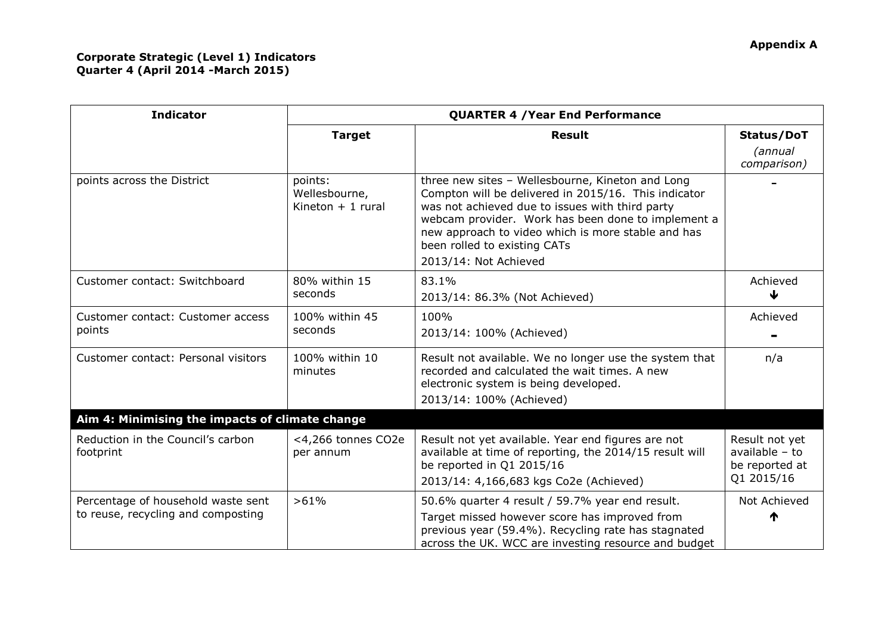| <b>Indicator</b>                                                         | <b>QUARTER 4 / Year End Performance</b>         |                                                                                                                                                                                                                                                                                                                                  |                                                                    |  |  |
|--------------------------------------------------------------------------|-------------------------------------------------|----------------------------------------------------------------------------------------------------------------------------------------------------------------------------------------------------------------------------------------------------------------------------------------------------------------------------------|--------------------------------------------------------------------|--|--|
|                                                                          | <b>Target</b>                                   | <b>Result</b>                                                                                                                                                                                                                                                                                                                    | Status/DoT<br>(annual                                              |  |  |
|                                                                          |                                                 |                                                                                                                                                                                                                                                                                                                                  | comparison)                                                        |  |  |
| points across the District                                               | points:<br>Wellesbourne,<br>Kineton $+1$ rural  | three new sites - Wellesbourne, Kineton and Long<br>Compton will be delivered in 2015/16. This indicator<br>was not achieved due to issues with third party<br>webcam provider. Work has been done to implement a<br>new approach to video which is more stable and has<br>been rolled to existing CATs<br>2013/14: Not Achieved |                                                                    |  |  |
| Customer contact: Switchboard                                            | 80% within 15<br>seconds                        | 83.1%<br>2013/14: 86.3% (Not Achieved)                                                                                                                                                                                                                                                                                           | Achieved<br>↓                                                      |  |  |
| Customer contact: Customer access<br>points                              | 100% within 45<br>seconds                       | 100%<br>2013/14: 100% (Achieved)                                                                                                                                                                                                                                                                                                 | Achieved                                                           |  |  |
| Customer contact: Personal visitors                                      | 100% within 10<br>minutes                       | Result not available. We no longer use the system that<br>recorded and calculated the wait times. A new<br>electronic system is being developed.<br>2013/14: 100% (Achieved)                                                                                                                                                     | n/a                                                                |  |  |
|                                                                          | Aim 4: Minimising the impacts of climate change |                                                                                                                                                                                                                                                                                                                                  |                                                                    |  |  |
| Reduction in the Council's carbon<br>footprint                           | <4,266 tonnes CO2e<br>per annum                 | Result not yet available. Year end figures are not<br>available at time of reporting, the 2014/15 result will<br>be reported in Q1 2015/16<br>2013/14: 4,166,683 kgs Co2e (Achieved)                                                                                                                                             | Result not yet<br>available $-$ to<br>be reported at<br>Q1 2015/16 |  |  |
| Percentage of household waste sent<br>to reuse, recycling and composting | >61%                                            | 50.6% quarter 4 result / 59.7% year end result.<br>Target missed however score has improved from<br>previous year (59.4%). Recycling rate has stagnated<br>across the UK. WCC are investing resource and budget                                                                                                                  | Not Achieved<br>₼                                                  |  |  |